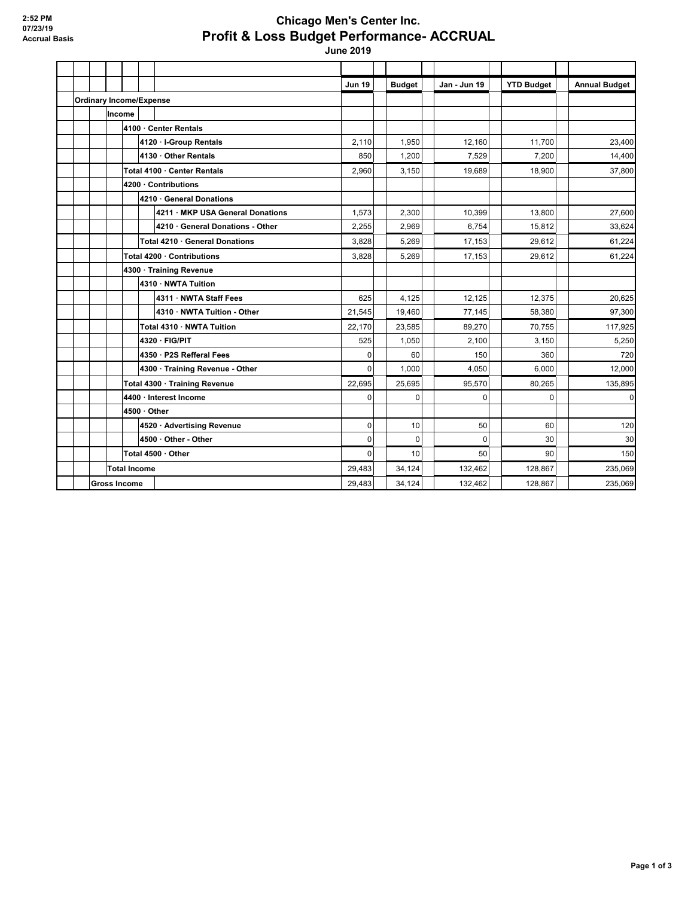## **Chicago Men's Center Inc. Profit & Loss Budget Performance- ACCRUAL**

 **June 2019**

|                     |                                |                       |                                  | <b>Jun 19</b> | <b>Budget</b> |             | Jan - Jun 19 | <b>YTD Budget</b> | <b>Annual Budget</b> |
|---------------------|--------------------------------|-----------------------|----------------------------------|---------------|---------------|-------------|--------------|-------------------|----------------------|
|                     | <b>Ordinary Income/Expense</b> |                       |                                  |               |               |             |              |                   |                      |
|                     | Income                         |                       |                                  |               |               |             |              |                   |                      |
|                     |                                | 4100 · Center Rentals |                                  |               |               |             |              |                   |                      |
|                     |                                |                       | 4120 · I-Group Rentals           | 2,110         | 1.950         |             | 12.160       | 11.700            | 23.400               |
|                     |                                |                       | 4130 · Other Rentals             | 850           | 1,200         |             | 7,529        | 7,200             | 14,400               |
|                     |                                |                       | Total 4100 · Center Rentals      | 2.960         | 3.150         |             | 19.689       | 18.900            | 37.800               |
|                     |                                |                       | 4200 · Contributions             |               |               |             |              |                   |                      |
|                     |                                |                       | 4210 · General Donations         |               |               |             |              |                   |                      |
|                     |                                |                       | 4211 · MKP USA General Donations | 1,573         | 2,300         |             | 10,399       | 13,800            | 27,600               |
|                     |                                |                       | 4210 General Donations - Other   | 2.255         | 2.969         |             | 6.754        | 15.812            | 33,624               |
|                     |                                |                       | Total 4210 · General Donations   | 3,828         | 5,269         |             | 17,153       | 29,612            | 61,224               |
|                     |                                |                       | Total 4200 · Contributions       | 3,828         | 5,269         |             | 17,153       | 29,612            | 61,224               |
|                     |                                |                       | 4300 · Training Revenue          |               |               |             |              |                   |                      |
|                     |                                |                       | 4310 · NWTA Tuition              |               |               |             |              |                   |                      |
|                     |                                |                       | 4311 NWTA Staff Fees             | 625           | 4.125         |             | 12,125       | 12,375            | 20,625               |
|                     |                                |                       | 4310 · NWTA Tuition - Other      | 21,545        | 19,460        |             | 77,145       | 58,380            | 97,300               |
|                     |                                |                       | Total 4310 · NWTA Tuition        | 22,170        | 23,585        |             | 89,270       | 70,755            | 117,925              |
|                     |                                |                       | 4320 · FIG/PIT                   | 525           | 1,050         |             | 2,100        | 3,150             | 5,250                |
|                     |                                |                       | 4350 · P2S Refferal Fees         | $\Omega$      |               | 60          | 150          | 360               | 720                  |
|                     |                                |                       | 4300 · Training Revenue - Other  | $\mathbf{0}$  | 1,000         |             | 4.050        | 6.000             | 12,000               |
|                     |                                |                       | Total 4300 · Training Revenue    | 22,695        | 25,695        |             | 95,570       | 80,265            | 135,895              |
|                     |                                |                       | 4400 · Interest Income           | $\mathbf 0$   |               | $\Omega$    | $\mathbf{0}$ | $\Omega$          | $\mathbf 0$          |
|                     |                                | 4500 · Other          |                                  |               |               |             |              |                   |                      |
|                     |                                |                       | 4520 · Advertising Revenue       | $\mathbf 0$   |               | 10          | 50           | 60                | 120                  |
|                     |                                |                       | 4500 · Other - Other             | $\mathbf 0$   |               | $\mathbf 0$ | $\mathbf 0$  | 30                | 30                   |
|                     |                                |                       | Total 4500 · Other               | $\mathbf 0$   |               | 10          | 50           | 90                | 150                  |
|                     |                                | <b>Total Income</b>   |                                  | 29,483        | 34.124        |             | 132.462      | 128.867           | 235,069              |
| <b>Gross Income</b> |                                |                       | 29,483                           | 34,124        |               | 132.462     | 128.867      | 235,069           |                      |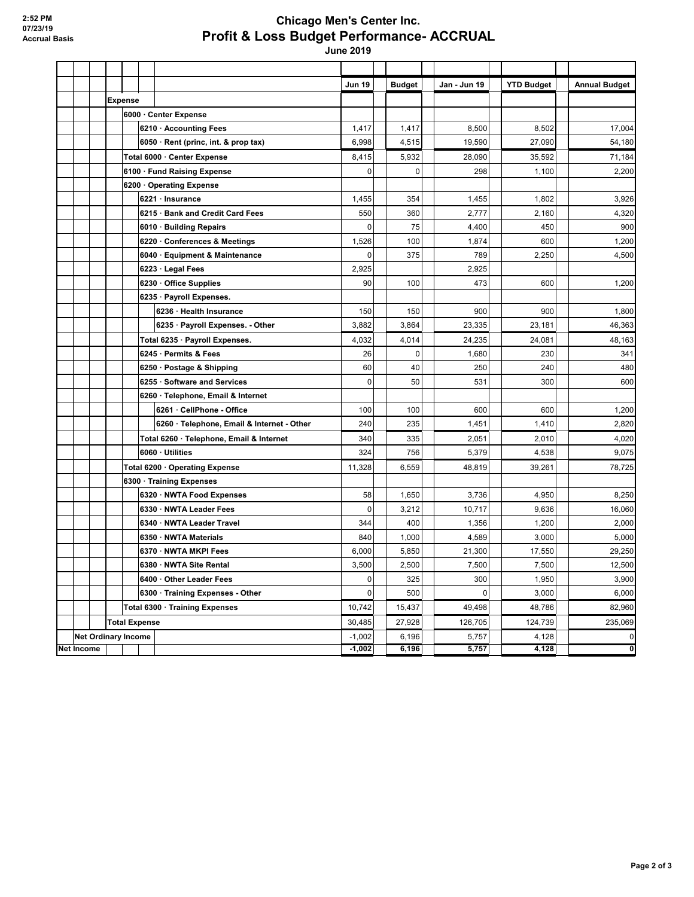## **Chicago Men's Center Inc. Profit & Loss Budget Performance- ACCRUAL**

 **June 2019**

|            |                            |                                |                      |                                            | <b>Jun 19</b> | <b>Budget</b> | Jan - Jun 19 | <b>YTD Budget</b> | <b>Annual Budget</b> |
|------------|----------------------------|--------------------------------|----------------------|--------------------------------------------|---------------|---------------|--------------|-------------------|----------------------|
|            |                            | Expense                        |                      |                                            |               |               |              |                   |                      |
|            |                            |                                |                      | 6000 · Center Expense                      |               |               |              |                   |                      |
|            |                            |                                |                      | 6210 · Accounting Fees                     | 1,417         | 1,417         | 8,500        | 8,502             | 17,004               |
|            |                            |                                |                      | 6050 · Rent (princ, int. & prop tax)       | 6,998         | 4,515         | 19,590       | 27,090            | 54,180               |
|            |                            |                                |                      | Total 6000 · Center Expense                | 8,415         | 5,932         | 28,090       | 35,592            | 71,184               |
|            |                            |                                |                      | 6100 · Fund Raising Expense                | $\mathbf 0$   | 0             | 298          | 1,100             | 2,200                |
|            |                            |                                |                      | 6200 Operating Expense                     |               |               |              |                   |                      |
|            |                            |                                |                      | 6221 · Insurance                           | 1,455         | 354           | 1,455        | 1,802             | 3,926                |
|            |                            |                                |                      | 6215 · Bank and Credit Card Fees           | 550           | 360           | 2,777        | 2,160             | 4,320                |
|            |                            |                                |                      | 6010 · Building Repairs                    | $\pmb{0}$     | 75            | 4,400        | 450               | 900                  |
|            |                            |                                |                      | 6220 · Conferences & Meetings              | 1,526         | 100           | 1,874        | 600               | 1,200                |
|            |                            |                                |                      | 6040 · Equipment & Maintenance             | $\mathbf 0$   | 375           | 789          | 2,250             | 4,500                |
|            |                            |                                |                      | 6223 · Legal Fees                          | 2,925         |               | 2.925        |                   |                      |
|            |                            |                                |                      | 6230 Office Supplies                       | 90            | 100           | 473          | 600               | 1,200                |
|            |                            |                                |                      | 6235 · Payroll Expenses.                   |               |               |              |                   |                      |
|            |                            |                                |                      | 6236 · Health Insurance                    | 150           | 150           | 900          | 900               | 1,800                |
|            |                            |                                |                      | 6235 · Payroll Expenses. - Other           | 3,882         | 3,864         | 23,335       | 23,181            | 46,363               |
|            |                            |                                |                      | Total 6235 · Payroll Expenses.             | 4,032         | 4,014         | 24,235       | 24,081            | 48,163               |
|            |                            |                                |                      | 6245 · Permits & Fees                      | 26            | $\mathbf 0$   | 1,680        | 230               | 341                  |
|            |                            |                                |                      | 6250 · Postage & Shipping                  | 60            | 40            | 250          | 240               | 480                  |
|            |                            |                                |                      | 6255 · Software and Services               | $\mathbf 0$   | 50            | 531          | 300               | 600                  |
|            |                            |                                |                      | 6260 · Telephone, Email & Internet         |               |               |              |                   |                      |
|            |                            |                                |                      | 6261 · CellPhone - Office                  | 100           | 100           | 600          | 600               | 1,200                |
|            |                            |                                |                      | 6260 · Telephone, Email & Internet - Other | 240           | 235           | 1,451        | 1,410             | 2,820                |
|            |                            |                                |                      | Total 6260 · Telephone, Email & Internet   | 340           | 335           | 2,051        | 2,010             | 4,020                |
|            |                            |                                |                      | 6060 · Utilities                           | 324           | 756           | 5,379        | 4,538             | 9,075                |
|            |                            | Total 6200 · Operating Expense |                      |                                            | 11,328        | 6,559         | 48,819       | 39,261            | 78,725               |
|            |                            |                                |                      | 6300 · Training Expenses                   |               |               |              |                   |                      |
|            |                            |                                |                      | 6320 · NWTA Food Expenses                  | 58            | 1,650         | 3,736        | 4,950             | 8,250                |
|            |                            |                                |                      | 6330 · NWTA Leader Fees                    | 0             | 3,212         | 10,717       | 9,636             | 16,060               |
|            |                            |                                |                      | 6340 · NWTA Leader Travel                  | 344           | 400           | 1,356        | 1,200             | 2,000                |
|            |                            |                                |                      | 6350 · NWTA Materials                      | 840           | 1,000         | 4,589        | 3,000             | 5,000                |
|            |                            |                                |                      | 6370 · NWTA MKPI Fees                      | 6,000         | 5,850         | 21,300       | 17,550            | 29,250               |
|            |                            |                                |                      | 6380 · NWTA Site Rental                    | 3,500         | 2,500         | 7,500        | 7,500             | 12,500               |
|            |                            |                                |                      | 6400 Other Leader Fees                     | 0             | 325           | 300          | 1,950             | 3,900                |
|            |                            |                                |                      | 6300 · Training Expenses - Other           | $\pmb{0}$     | 500           | $\mathbf 0$  | 3,000             | 6,000                |
|            |                            |                                |                      | Total 6300 · Training Expenses             | 10,742        | 15,437        | 49,498       | 48,786            | 82,960               |
|            |                            |                                | <b>Total Expense</b> |                                            |               | 27,928        | 126,705      | 124,739           | 235,069              |
|            | <b>Net Ordinary Income</b> |                                |                      |                                            | $-1,002$      | 6,196         | 5,757        | 4,128             | $\pmb{0}$            |
| Net Income |                            |                                |                      |                                            | $-1,002$      | 6,196         | 5,757        | 4,128             | 0                    |